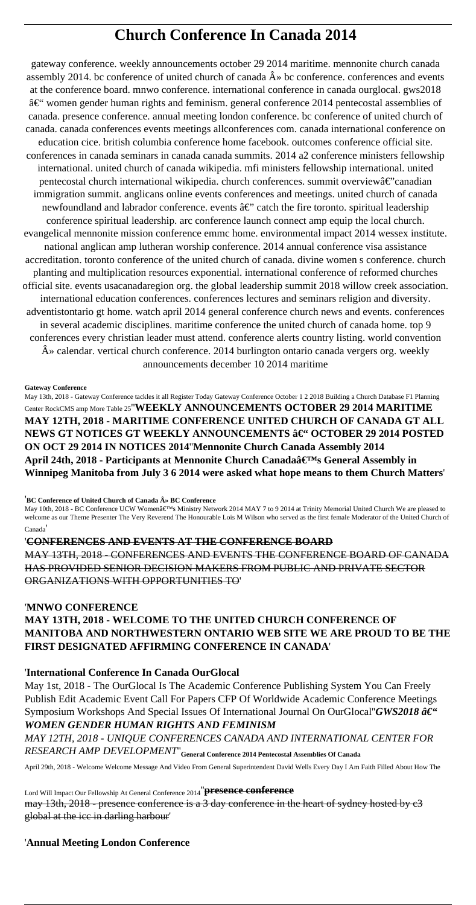# **Church Conference In Canada 2014**

gateway conference. weekly announcements october 29 2014 maritime. mennonite church canada assembly 2014. bc conference of united church of canada  $\hat{A}$ » bc conference. conferences and events at the conference board. mnwo conference. international conference in canada ourglocal. gws2018  $\hat{a} \in$ " women gender human rights and feminism. general conference 2014 pentecostal assemblies of canada. presence conference. annual meeting london conference. bc conference of united church of canada. canada conferences events meetings allconferences com. canada international conference on education cice. british columbia conference home facebook. outcomes conference official site. conferences in canada seminars in canada canada summits. 2014 a2 conference ministers fellowship international. united church of canada wikipedia. mfi ministers fellowship international. united pentecostal church international wikipedia. church conferences. summit overviewâ€"canadian immigration summit. anglicans online events conferences and meetings. united church of canada newfoundland and labrador conference. events  $\hat{a} \in \hat{c}$  catch the fire toronto. spiritual leadership conference spiritual leadership. arc conference launch connect amp equip the local church. evangelical mennonite mission conference emmc home. environmental impact 2014 wessex institute. national anglican amp lutheran worship conference. 2014 annual conference visa assistance accreditation. toronto conference of the united church of canada. divine women s conference. church planting and multiplication resources exponential. international conference of reformed churches official site. events usacanadaregion org. the global leadership summit 2018 willow creek association. international education conferences. conferences lectures and seminars religion and diversity. adventistontario gt home. watch april 2014 general conference church news and events. conferences in several academic disciplines. maritime conference the united church of canada home. top 9 conferences every christian leader must attend. conference alerts country listing. world convention » calendar. vertical church conference. 2014 burlington ontario canada vergers org. weekly announcements december 10 2014 maritime

#### **Gateway Conference**

May 13th, 2018 - Gateway Conference tackles it all Register Today Gateway Conference October 1 2 2018 Building a Church Database F1 Planning Center RockCMS amp More Table 25''**WEEKLY ANNOUNCEMENTS OCTOBER 29 2014 MARITIME MAY 12TH, 2018 - MARITIME CONFERENCE UNITED CHURCH OF CANADA GT ALL NEWS GT NOTICES GT WEEKLY ANNOUNCEMENTS – OCTOBER 29 2014 POSTED ON OCT 29 2014 IN NOTICES 2014**''**Mennonite Church Canada Assembly 2014** April 24th, 2018 - Participants at Mennonite Church Canada's General Assembly in **Winnipeg Manitoba from July 3 6 2014 were asked what hope means to them Church Matters**'

'**BC Conference of United Church of Canada » BC Conference**

May 10th, 2018 - BC Conference UCW Women's Ministry Network 2014 MAY 7 to 9 2014 at Trinity Memorial United Church We are pleased to welcome as our Theme Presenter The Very Reverend The Honourable Lois M Wilson who served as the first female Moderator of the United Church of Canada'

'**CONFERENCES AND EVENTS AT THE CONFERENCE BOARD**

MAY 13TH, 2018 - CONFERENCES AND EVENTS THE CONFERENCE BOARD OF CANADA HAS PROVIDED SENIOR DECISION MAKERS FROM PUBLIC AND PRIVATE SECTOR ORGANIZATIONS WITH OPPORTUNITIES TO'

'**MNWO CONFERENCE**

# **MAY 13TH, 2018 - WELCOME TO THE UNITED CHURCH CONFERENCE OF MANITOBA AND NORTHWESTERN ONTARIO WEB SITE WE ARE PROUD TO BE THE FIRST DESIGNATED AFFIRMING CONFERENCE IN CANADA**'

#### '**International Conference In Canada OurGlocal**

May 1st, 2018 - The OurGlocal Is The Academic Conference Publishing System You Can Freely Publish Edit Academic Event Call For Papers CFP Of Worldwide Academic Conference Meetings Symposium Workshops And Special Issues Of International Journal On OurGlocal"*GWS2018* â€<sup>"</sup> *WOMEN GENDER HUMAN RIGHTS AND FEMINISM*

# *MAY 12TH, 2018 - UNIQUE CONFERENCES CANADA AND INTERNATIONAL CENTER FOR RESEARCH AMP DEVELOPMENT*''**General Conference 2014 Pentecostal Assemblies Of Canada**

April 29th, 2018 - Welcome Welcome Message And Video From General Superintendent David Wells Every Day I Am Faith Filled About How The

Lord Will Impact Our Fellowship At General Conference 2014''**presence conference**

may 13th, 2018 - presence conference is a 3 day conference in the heart of sydney hosted by c3 global at the icc in darling harbour'

'**Annual Meeting London Conference**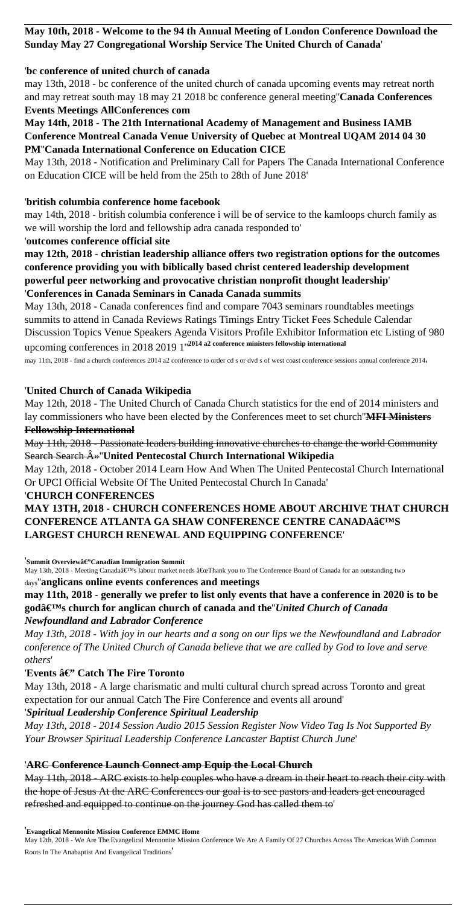# **May 10th, 2018 - Welcome to the 94 th Annual Meeting of London Conference Download the Sunday May 27 Congregational Worship Service The United Church of Canada**'

#### '**bc conference of united church of canada**

may 13th, 2018 - bc conference of the united church of canada upcoming events may retreat north and may retreat south may 18 may 21 2018 bc conference general meeting''**Canada Conferences Events Meetings AllConferences com**

# **May 14th, 2018 - The 21th International Academy of Management and Business IAMB Conference Montreal Canada Venue University of Quebec at Montreal UQAM 2014 04 30 PM**''**Canada International Conference on Education CICE**

May 13th, 2018 - Notification and Preliminary Call for Papers The Canada International Conference on Education CICE will be held from the 25th to 28th of June 2018'

# '**british columbia conference home facebook**

may 14th, 2018 - british columbia conference i will be of service to the kamloops church family as we will worship the lord and fellowship adra canada responded to'

#### '**outcomes conference official site**

**may 12th, 2018 - christian leadership alliance offers two registration options for the outcomes conference providing you with biblically based christ centered leadership development powerful peer networking and provocative christian nonprofit thought leadership**' '**Conferences in Canada Seminars in Canada Canada summits**

May 13th, 2018 - Canada conferences find and compare 7043 seminars roundtables meetings summits to attend in Canada Reviews Ratings Timings Entry Ticket Fees Schedule Calendar Discussion Topics Venue Speakers Agenda Visitors Profile Exhibitor Information etc Listing of 980 upcoming conferences in 2018 2019 1''**2014 a2 conference ministers fellowship international**

may 11th, 2018 - find a church conferences 2014 a2 conference to order cd s or dvd s of west coast conference sessions annual conference 2014'

# '**United Church of Canada Wikipedia**

May 12th, 2018 - The United Church of Canada Church statistics for the end of 2014 ministers and lay commissioners who have been elected by the Conferences meet to set church''**MFI Ministers**

# **Fellowship International**

May 11th, 2018 - Passionate leaders building innovative churches to change the world Community Search Search  $\hat{A}$ <sup>y</sup>''United Pentecostal Church International Wikipedia

May 12th, 2018 - October 2014 Learn How And When The United Pentecostal Church International Or UPCI Official Website Of The United Pentecostal Church In Canada'

#### '**CHURCH CONFERENCES**

**MAY 13TH, 2018 - CHURCH CONFERENCES HOME ABOUT ARCHIVE THAT CHURCH CONFERENCE ATLANTA GA SHAW CONFERENCE CENTRE CANADA'S LARGEST CHURCH RENEWAL AND EQUIPPING CONFERENCE**'

<sup>'</sup>Summit Overviewâ€"Canadian Immigration Summit

May 13th, 2018 - Meeting Canada's labour market needs "Thank you to The Conference Board of Canada for an outstanding two days''**anglicans online events conferences and meetings**

**may 11th, 2018 - generally we prefer to list only events that have a conference in 2020 is to be** godâ€<sup>™</sup>s church for anglican church of canada and the<sup>''</sup>*United Church of Canada Newfoundland and Labrador Conference*

*May 13th, 2018 - With joy in our hearts and a song on our lips we the Newfoundland and Labrador conference of The United Church of Canada believe that we are called by God to love and serve others*'

# 'Events â€" Catch The Fire Toronto

May 13th, 2018 - A large charismatic and multi cultural church spread across Toronto and great expectation for our annual Catch The Fire Conference and events all around' '*Spiritual Leadership Conference Spiritual Leadership*

*May 13th, 2018 - 2014 Session Audio 2015 Session Register Now Video Tag Is Not Supported By Your Browser Spiritual Leadership Conference Lancaster Baptist Church June*'

# '**ARC Conference Launch Connect amp Equip the Local Church**

May 11th, 2018 - ARC exists to help couples who have a dream in their heart to reach their city with the hope of Jesus At the ARC Conferences our goal is to see pastors and leaders get encouraged refreshed and equipped to continue on the journey God has called them to'

#### '**Evangelical Mennonite Mission Conference EMMC Home**

May 12th, 2018 - We Are The Evangelical Mennonite Mission Conference We Are A Family Of 27 Churches Across The Americas With Common Roots In The Anabaptist And Evangelical Traditions'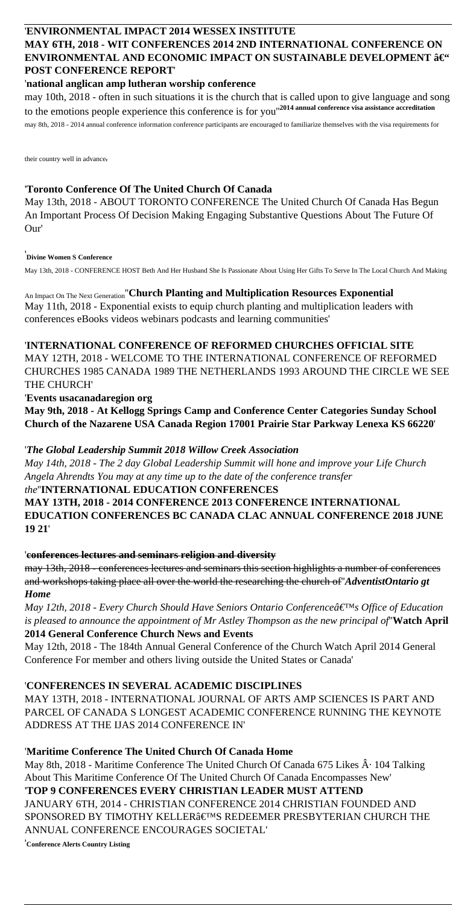### '**ENVIRONMENTAL IMPACT 2014 WESSEX INSTITUTE**

### **MAY 6TH, 2018 - WIT CONFERENCES 2014 2ND INTERNATIONAL CONFERENCE ON ENVIRONMENTAL AND ECONOMIC IMPACT ON SUSTAINABLE DEVELOPMENT – POST CONFERENCE REPORT**'

### '**national anglican amp lutheran worship conference**

may 10th, 2018 - often in such situations it is the church that is called upon to give language and song to the emotions people experience this conference is for you''**2014 annual conference visa assistance accreditation**

may 8th, 2018 - 2014 annual conference information conference participants are encouraged to familiarize themselves with the visa requirements for

their country well in advance'

# '**Toronto Conference Of The United Church Of Canada**

May 13th, 2018 - ABOUT TORONTO CONFERENCE The United Church Of Canada Has Begun An Important Process Of Decision Making Engaging Substantive Questions About The Future Of Our'

#### '**Divine Women S Conference**

May 13th, 2018 - CONFERENCE HOST Beth And Her Husband She Is Passionate About Using Her Gifts To Serve In The Local Church And Making

An Impact On The Next Generation''**Church Planting and Multiplication Resources Exponential** May 11th, 2018 - Exponential exists to equip church planting and multiplication leaders with conferences eBooks videos webinars podcasts and learning communities'

#### '**INTERNATIONAL CONFERENCE OF REFORMED CHURCHES OFFICIAL SITE**

MAY 12TH, 2018 - WELCOME TO THE INTERNATIONAL CONFERENCE OF REFORMED CHURCHES 1985 CANADA 1989 THE NETHERLANDS 1993 AROUND THE CIRCLE WE SEE THE CHURCH'

# '**Events usacanadaregion org**

**May 9th, 2018 - At Kellogg Springs Camp and Conference Center Categories Sunday School Church of the Nazarene USA Canada Region 17001 Prairie Star Parkway Lenexa KS 66220**'

# '*The Global Leadership Summit 2018 Willow Creek Association*

*May 14th, 2018 - The 2 day Global Leadership Summit will hone and improve your Life Church Angela Ahrendts You may at any time up to the date of the conference transfer*

# *the*''**INTERNATIONAL EDUCATION CONFERENCES**

**MAY 13TH, 2018 - 2014 CONFERENCE 2013 CONFERENCE INTERNATIONAL EDUCATION CONFERENCES BC CANADA CLAC ANNUAL CONFERENCE 2018 JUNE 19 21**'

#### '**conferences lectures and seminars religion and diversity**

may 13th, 2018 - conferences lectures and seminars this section highlights a number of conferences and workshops taking place all over the world the researching the church of''*AdventistOntario gt Home*

*May 12th, 2018 - Every Church Should Have Seniors Ontario Conference*  $\hat{\theta}^{\text{EM}}$ *s Office of Education is pleased to announce the appointment of Mr Astley Thompson as the new principal of*''**Watch April 2014 General Conference Church News and Events**

May 12th, 2018 - The 184th Annual General Conference of the Church Watch April 2014 General Conference For member and others living outside the United States or Canada'

# '**CONFERENCES IN SEVERAL ACADEMIC DISCIPLINES**

MAY 13TH, 2018 - INTERNATIONAL JOURNAL OF ARTS AMP SCIENCES IS PART AND PARCEL OF CANADA S LONGEST ACADEMIC CONFERENCE RUNNING THE KEYNOTE ADDRESS AT THE IJAS 2014 CONFERENCE IN'

# '**Maritime Conference The United Church Of Canada Home**

May 8th, 2018 - Maritime Conference The United Church Of Canada 675 Likes  $\hat{A}$  104 Talking About This Maritime Conference Of The United Church Of Canada Encompasses New' '**TOP 9 CONFERENCES EVERY CHRISTIAN LEADER MUST ATTEND** JANUARY 6TH, 2014 - CHRISTIAN CONFERENCE 2014 CHRISTIAN FOUNDED AND SPONSORED BY TIMOTHY KELLER'S REDEEMER PRESBYTERIAN CHURCH THE

ANNUAL CONFERENCE ENCOURAGES SOCIETAL'